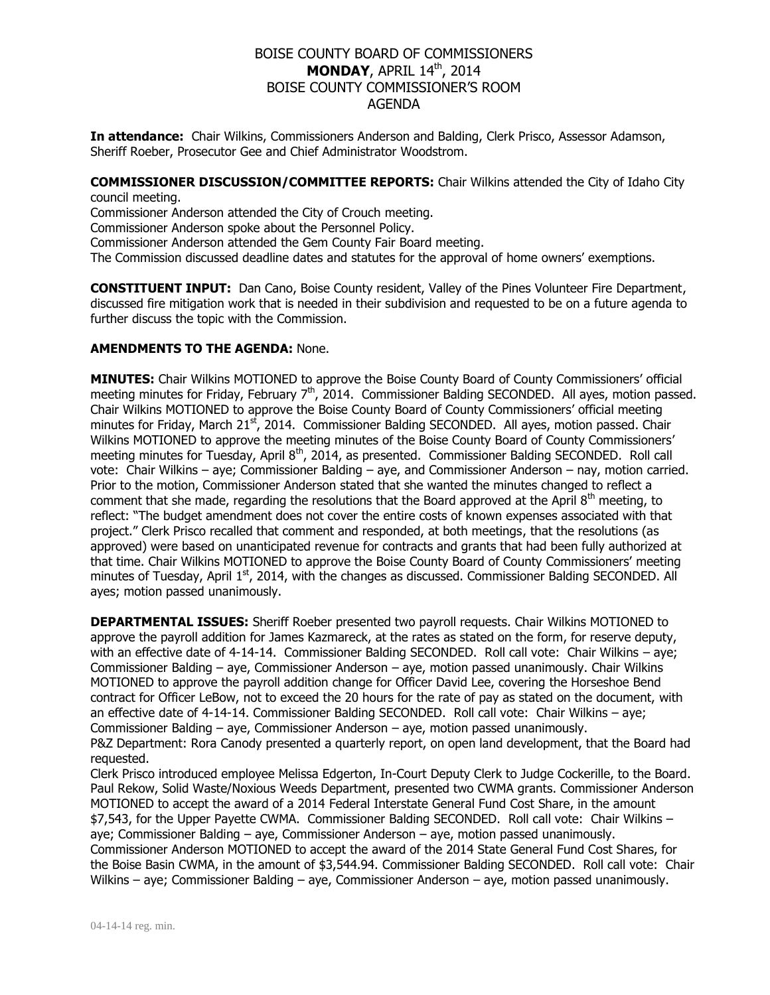# BOISE COUNTY BOARD OF COMMISSIONERS **MONDAY, APRIL 14th, 2014** BOISE COUNTY COMMISSIONER'S ROOM AGENDA

**In attendance:** Chair Wilkins, Commissioners Anderson and Balding, Clerk Prisco, Assessor Adamson, Sheriff Roeber, Prosecutor Gee and Chief Administrator Woodstrom.

**COMMISSIONER DISCUSSION/COMMITTEE REPORTS:** Chair Wilkins attended the City of Idaho City council meeting.

Commissioner Anderson attended the City of Crouch meeting.

Commissioner Anderson spoke about the Personnel Policy.

Commissioner Anderson attended the Gem County Fair Board meeting.

The Commission discussed deadline dates and statutes for the approval of home owners' exemptions.

**CONSTITUENT INPUT:** Dan Cano, Boise County resident, Valley of the Pines Volunteer Fire Department, discussed fire mitigation work that is needed in their subdivision and requested to be on a future agenda to further discuss the topic with the Commission.

### **AMENDMENTS TO THE AGENDA:** None.

**MINUTES:** Chair Wilkins MOTIONED to approve the Boise County Board of County Commissioners' official meeting minutes for Friday, February  $7<sup>th</sup>$ , 2014. Commissioner Balding SECONDED. All ayes, motion passed. Chair Wilkins MOTIONED to approve the Boise County Board of County Commissioners' official meeting minutes for Friday, March 21<sup>st</sup>, 2014. Commissioner Balding SECONDED. All ayes, motion passed. Chair Wilkins MOTIONED to approve the meeting minutes of the Boise County Board of County Commissioners' meeting minutes for Tuesday, April 8<sup>th</sup>, 2014, as presented. Commissioner Balding SECONDED. Roll call vote: Chair Wilkins – aye; Commissioner Balding – aye, and Commissioner Anderson – nay, motion carried. Prior to the motion, Commissioner Anderson stated that she wanted the minutes changed to reflect a comment that she made, regarding the resolutions that the Board approved at the April 8<sup>th</sup> meeting, to reflect: "The budget amendment does not cover the entire costs of known expenses associated with that project." Clerk Prisco recalled that comment and responded, at both meetings, that the resolutions (as approved) were based on unanticipated revenue for contracts and grants that had been fully authorized at that time. Chair Wilkins MOTIONED to approve the Boise County Board of County Commissioners' meeting minutes of Tuesday, April 1<sup>st</sup>, 2014, with the changes as discussed. Commissioner Balding SECONDED. All ayes; motion passed unanimously.

**DEPARTMENTAL ISSUES:** Sheriff Roeber presented two payroll requests. Chair Wilkins MOTIONED to approve the payroll addition for James Kazmareck, at the rates as stated on the form, for reserve deputy, with an effective date of 4-14-14. Commissioner Balding SECONDED. Roll call vote: Chair Wilkins – aye; Commissioner Balding – aye, Commissioner Anderson – aye, motion passed unanimously. Chair Wilkins MOTIONED to approve the payroll addition change for Officer David Lee, covering the Horseshoe Bend contract for Officer LeBow, not to exceed the 20 hours for the rate of pay as stated on the document, with an effective date of 4-14-14. Commissioner Balding SECONDED. Roll call vote: Chair Wilkins – aye; Commissioner Balding – aye, Commissioner Anderson – aye, motion passed unanimously. P&Z Department: Rora Canody presented a quarterly report, on open land development, that the Board had requested.

Clerk Prisco introduced employee Melissa Edgerton, In-Court Deputy Clerk to Judge Cockerille, to the Board. Paul Rekow, Solid Waste/Noxious Weeds Department, presented two CWMA grants. Commissioner Anderson MOTIONED to accept the award of a 2014 Federal Interstate General Fund Cost Share, in the amount \$7,543, for the Upper Payette CWMA. Commissioner Balding SECONDED. Roll call vote: Chair Wilkins – aye; Commissioner Balding – aye, Commissioner Anderson – aye, motion passed unanimously. Commissioner Anderson MOTIONED to accept the award of the 2014 State General Fund Cost Shares, for the Boise Basin CWMA, in the amount of \$3,544.94. Commissioner Balding SECONDED. Roll call vote: Chair

Wilkins – aye; Commissioner Balding – aye, Commissioner Anderson – aye, motion passed unanimously.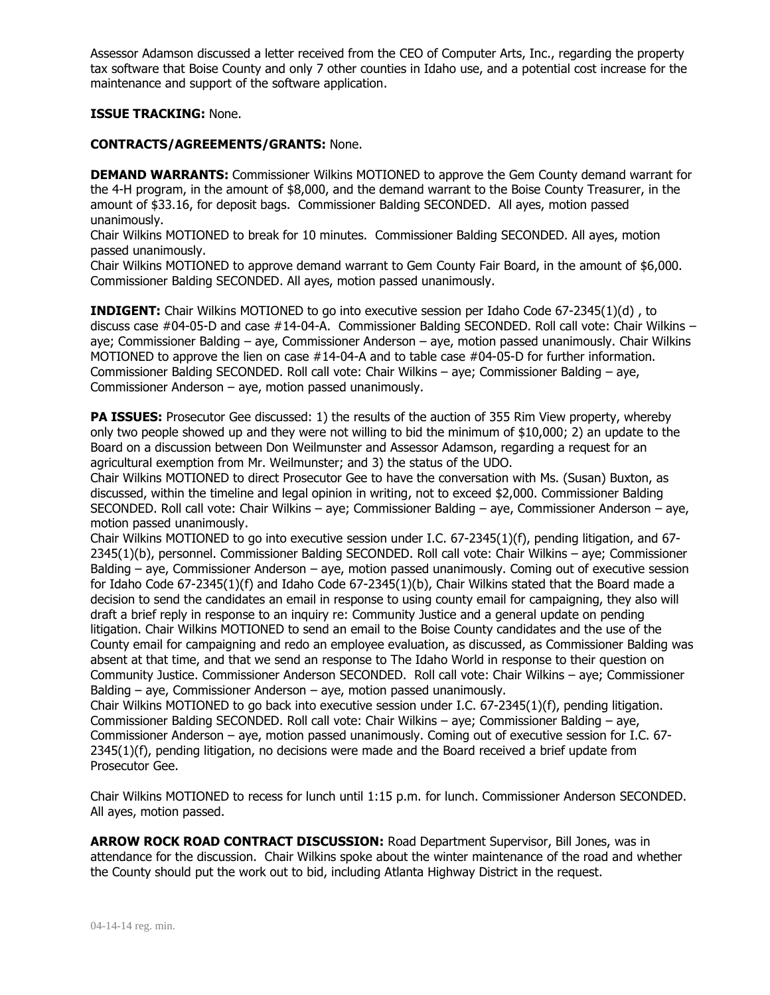Assessor Adamson discussed a letter received from the CEO of Computer Arts, Inc., regarding the property tax software that Boise County and only 7 other counties in Idaho use, and a potential cost increase for the maintenance and support of the software application.

## **ISSUE TRACKING:** None.

### **CONTRACTS/AGREEMENTS/GRANTS:** None.

**DEMAND WARRANTS:** Commissioner Wilkins MOTIONED to approve the Gem County demand warrant for the 4-H program, in the amount of \$8,000, and the demand warrant to the Boise County Treasurer, in the amount of \$33.16, for deposit bags. Commissioner Balding SECONDED. All ayes, motion passed unanimously.

Chair Wilkins MOTIONED to break for 10 minutes. Commissioner Balding SECONDED. All ayes, motion passed unanimously.

Chair Wilkins MOTIONED to approve demand warrant to Gem County Fair Board, in the amount of \$6,000. Commissioner Balding SECONDED. All ayes, motion passed unanimously.

**INDIGENT:** Chair Wilkins MOTIONED to go into executive session per Idaho Code 67-2345(1)(d) , to discuss case #04-05-D and case #14-04-A. Commissioner Balding SECONDED. Roll call vote: Chair Wilkins – aye; Commissioner Balding – aye, Commissioner Anderson – aye, motion passed unanimously. Chair Wilkins MOTIONED to approve the lien on case #14-04-A and to table case #04-05-D for further information. Commissioner Balding SECONDED. Roll call vote: Chair Wilkins – aye; Commissioner Balding – aye, Commissioner Anderson – aye, motion passed unanimously.

**PA ISSUES:** Prosecutor Gee discussed: 1) the results of the auction of 355 Rim View property, whereby only two people showed up and they were not willing to bid the minimum of \$10,000; 2) an update to the Board on a discussion between Don Weilmunster and Assessor Adamson, regarding a request for an agricultural exemption from Mr. Weilmunster; and 3) the status of the UDO.

Chair Wilkins MOTIONED to direct Prosecutor Gee to have the conversation with Ms. (Susan) Buxton, as discussed, within the timeline and legal opinion in writing, not to exceed \$2,000. Commissioner Balding SECONDED. Roll call vote: Chair Wilkins – aye; Commissioner Balding – aye, Commissioner Anderson – aye, motion passed unanimously.

Chair Wilkins MOTIONED to go into executive session under I.C. 67-2345(1)(f), pending litigation, and 67- 2345(1)(b), personnel. Commissioner Balding SECONDED. Roll call vote: Chair Wilkins – aye; Commissioner Balding – aye, Commissioner Anderson – aye, motion passed unanimously. Coming out of executive session for Idaho Code 67-2345(1)(f) and Idaho Code 67-2345(1)(b), Chair Wilkins stated that the Board made a decision to send the candidates an email in response to using county email for campaigning, they also will draft a brief reply in response to an inquiry re: Community Justice and a general update on pending litigation. Chair Wilkins MOTIONED to send an email to the Boise County candidates and the use of the County email for campaigning and redo an employee evaluation, as discussed, as Commissioner Balding was absent at that time, and that we send an response to The Idaho World in response to their question on Community Justice. Commissioner Anderson SECONDED. Roll call vote: Chair Wilkins – aye; Commissioner Balding – aye, Commissioner Anderson – aye, motion passed unanimously.

Chair Wilkins MOTIONED to go back into executive session under I.C. 67-2345(1)(f), pending litigation. Commissioner Balding SECONDED. Roll call vote: Chair Wilkins – aye; Commissioner Balding – aye, Commissioner Anderson – aye, motion passed unanimously. Coming out of executive session for I.C. 67- 2345(1)(f), pending litigation, no decisions were made and the Board received a brief update from Prosecutor Gee.

Chair Wilkins MOTIONED to recess for lunch until 1:15 p.m. for lunch. Commissioner Anderson SECONDED. All ayes, motion passed.

**ARROW ROCK ROAD CONTRACT DISCUSSION:** Road Department Supervisor, Bill Jones, was in attendance for the discussion. Chair Wilkins spoke about the winter maintenance of the road and whether the County should put the work out to bid, including Atlanta Highway District in the request.